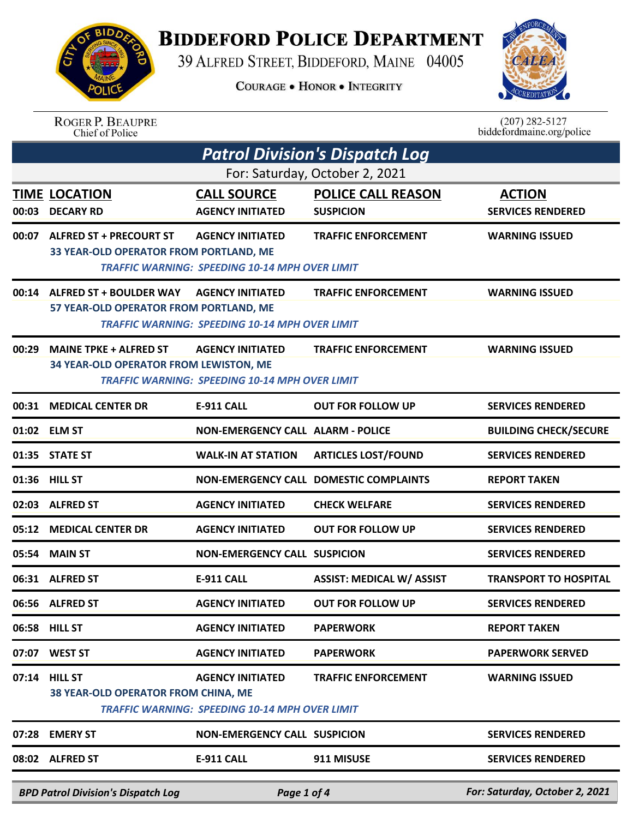## **BIDDEFORD POLICE DEPARTMENT**

39 ALFRED STREET, BIDDEFORD, MAINE 04005

**COURAGE . HONOR . INTEGRITY** 



|                                                                                              | <b>BPD Patrol Division's Dispatch Log</b>                               | Page 1 of 4                                                                      |                                        | For: Saturday, October 2, 2021                |
|----------------------------------------------------------------------------------------------|-------------------------------------------------------------------------|----------------------------------------------------------------------------------|----------------------------------------|-----------------------------------------------|
|                                                                                              | 08:02 ALFRED ST                                                         | <b>E-911 CALL</b>                                                                | 911 MISUSE                             | <b>SERVICES RENDERED</b>                      |
| 07:28                                                                                        | <b>EMERY ST</b>                                                         | <b>NON-EMERGENCY CALL SUSPICION</b>                                              |                                        | <b>SERVICES RENDERED</b>                      |
| 38 YEAR-OLD OPERATOR FROM CHINA, ME<br><b>TRAFFIC WARNING: SPEEDING 10-14 MPH OVER LIMIT</b> |                                                                         |                                                                                  |                                        |                                               |
|                                                                                              | 07:14 HILL ST                                                           | <b>AGENCY INITIATED</b>                                                          | <b>TRAFFIC ENFORCEMENT</b>             | <b>WARNING ISSUED</b>                         |
|                                                                                              | 07:07 WEST ST                                                           | <b>AGENCY INITIATED</b>                                                          | <b>PAPERWORK</b>                       | <b>PAPERWORK SERVED</b>                       |
|                                                                                              | 06:58 HILL ST                                                           | <b>AGENCY INITIATED</b>                                                          | <b>PAPERWORK</b>                       | <b>REPORT TAKEN</b>                           |
|                                                                                              | 06:56 ALFRED ST                                                         | <b>AGENCY INITIATED</b>                                                          | <b>OUT FOR FOLLOW UP</b>               | <b>SERVICES RENDERED</b>                      |
|                                                                                              | 06:31 ALFRED ST                                                         | E-911 CALL                                                                       | <b>ASSIST: MEDICAL W/ ASSIST</b>       | <b>TRANSPORT TO HOSPITAL</b>                  |
|                                                                                              | 05:54 MAIN ST                                                           | <b>NON-EMERGENCY CALL SUSPICION</b>                                              |                                        | <b>SERVICES RENDERED</b>                      |
| 05:12                                                                                        | <b>MEDICAL CENTER DR</b>                                                | <b>AGENCY INITIATED</b>                                                          | <b>OUT FOR FOLLOW UP</b>               | <b>SERVICES RENDERED</b>                      |
|                                                                                              | 02:03 ALFRED ST                                                         | <b>AGENCY INITIATED</b>                                                          | <b>CHECK WELFARE</b>                   | <b>SERVICES RENDERED</b>                      |
|                                                                                              | 01:36 HILL ST                                                           |                                                                                  | NON-EMERGENCY CALL DOMESTIC COMPLAINTS | <b>REPORT TAKEN</b>                           |
|                                                                                              | 01:35 STATE ST                                                          | <b>WALK-IN AT STATION</b>                                                        | <b>ARTICLES LOST/FOUND</b>             | <b>SERVICES RENDERED</b>                      |
|                                                                                              | 01:02 ELM ST                                                            | <b>NON-EMERGENCY CALL ALARM - POLICE</b>                                         |                                        | <b>BUILDING CHECK/SECURE</b>                  |
| 00:31                                                                                        | <b>MEDICAL CENTER DR</b>                                                | <b>E-911 CALL</b>                                                                | <b>OUT FOR FOLLOW UP</b>               | <b>SERVICES RENDERED</b>                      |
|                                                                                              | 34 YEAR-OLD OPERATOR FROM LEWISTON, ME                                  | <b>TRAFFIC WARNING: SPEEDING 10-14 MPH OVER LIMIT</b>                            |                                        |                                               |
| 00:29                                                                                        | <b>MAINE TPKE + ALFRED ST</b>                                           | <b>AGENCY INITIATED</b>                                                          | <b>TRAFFIC ENFORCEMENT</b>             | <b>WARNING ISSUED</b>                         |
|                                                                                              | 57 YEAR-OLD OPERATOR FROM PORTLAND, ME                                  | <b>TRAFFIC WARNING: SPEEDING 10-14 MPH OVER LIMIT</b>                            |                                        |                                               |
|                                                                                              | 00:14 ALFRED ST + BOULDER WAY                                           | <b>AGENCY INITIATED</b>                                                          | <b>TRAFFIC ENFORCEMENT</b>             | <b>WARNING ISSUED</b>                         |
|                                                                                              | 00:07 ALFRED ST + PRECOURT ST<br>33 YEAR-OLD OPERATOR FROM PORTLAND, ME | <b>AGENCY INITIATED</b><br><b>TRAFFIC WARNING: SPEEDING 10-14 MPH OVER LIMIT</b> | <b>TRAFFIC ENFORCEMENT</b>             | <b>WARNING ISSUED</b>                         |
| 00:03                                                                                        | <b>DECARY RD</b>                                                        | <b>AGENCY INITIATED</b>                                                          | <b>SUSPICION</b>                       | <b>SERVICES RENDERED</b>                      |
|                                                                                              | <b>TIME LOCATION</b>                                                    | <b>CALL SOURCE</b>                                                               | <b>POLICE CALL REASON</b>              | <b>ACTION</b>                                 |
|                                                                                              |                                                                         |                                                                                  | For: Saturday, October 2, 2021         |                                               |
|                                                                                              |                                                                         |                                                                                  | <b>Patrol Division's Dispatch Log</b>  |                                               |
|                                                                                              | <b>ROGER P. BEAUPRE</b><br>Chief of Police                              |                                                                                  |                                        | $(207)$ 282-5127<br>biddefordmaine.org/police |

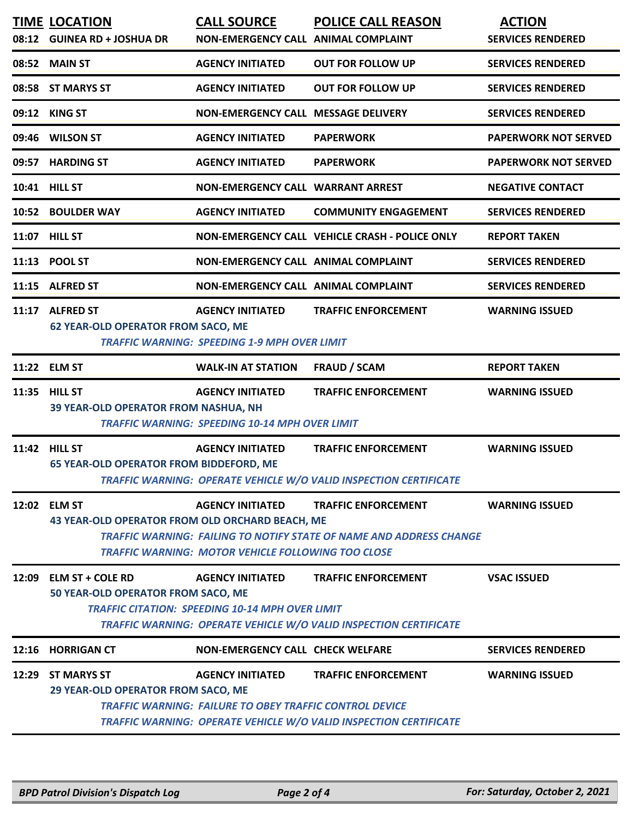| 08:12 | <b>TIME LOCATION</b><br><b>GUINEA RD + JOSHUA DR</b>                                                                                                                                       | <b>CALL SOURCE</b><br>NON-EMERGENCY CALL ANIMAL COMPLAINT                                 | <b>POLICE CALL REASON</b>                                                                       | <b>ACTION</b><br><b>SERVICES RENDERED</b> |  |
|-------|--------------------------------------------------------------------------------------------------------------------------------------------------------------------------------------------|-------------------------------------------------------------------------------------------|-------------------------------------------------------------------------------------------------|-------------------------------------------|--|
| 08:52 | <b>MAIN ST</b>                                                                                                                                                                             | <b>AGENCY INITIATED</b>                                                                   | <b>OUT FOR FOLLOW UP</b>                                                                        | <b>SERVICES RENDERED</b>                  |  |
|       | 08:58 ST MARYS ST                                                                                                                                                                          | <b>AGENCY INITIATED</b>                                                                   | <b>OUT FOR FOLLOW UP</b>                                                                        | <b>SERVICES RENDERED</b>                  |  |
|       | 09:12 KING ST                                                                                                                                                                              | NON-EMERGENCY CALL MESSAGE DELIVERY                                                       |                                                                                                 | <b>SERVICES RENDERED</b>                  |  |
| 09:46 | <b>WILSON ST</b>                                                                                                                                                                           | <b>AGENCY INITIATED</b>                                                                   | <b>PAPERWORK</b>                                                                                | <b>PAPERWORK NOT SERVED</b>               |  |
| 09:57 | <b>HARDING ST</b>                                                                                                                                                                          | <b>AGENCY INITIATED</b>                                                                   | <b>PAPERWORK</b>                                                                                | <b>PAPERWORK NOT SERVED</b>               |  |
|       | 10:41 HILL ST                                                                                                                                                                              | <b>NON-EMERGENCY CALL WARRANT ARREST</b>                                                  |                                                                                                 | <b>NEGATIVE CONTACT</b>                   |  |
|       | 10:52 BOULDER WAY                                                                                                                                                                          | <b>AGENCY INITIATED</b>                                                                   | <b>COMMUNITY ENGAGEMENT</b>                                                                     | <b>SERVICES RENDERED</b>                  |  |
|       | 11:07 HILL ST                                                                                                                                                                              |                                                                                           | NON-EMERGENCY CALL VEHICLE CRASH - POLICE ONLY                                                  | <b>REPORT TAKEN</b>                       |  |
|       | 11:13 POOL ST                                                                                                                                                                              | NON-EMERGENCY CALL ANIMAL COMPLAINT                                                       |                                                                                                 | <b>SERVICES RENDERED</b>                  |  |
| 11:15 | <b>ALFRED ST</b>                                                                                                                                                                           | NON-EMERGENCY CALL ANIMAL COMPLAINT                                                       |                                                                                                 | <b>SERVICES RENDERED</b>                  |  |
|       | 11:17 ALFRED ST<br><b>62 YEAR-OLD OPERATOR FROM SACO, ME</b>                                                                                                                               | <b>AGENCY INITIATED</b><br><b>TRAFFIC WARNING: SPEEDING 1-9 MPH OVER LIMIT</b>            | <b>TRAFFIC ENFORCEMENT</b>                                                                      | <b>WARNING ISSUED</b>                     |  |
|       | 11:22 ELM ST                                                                                                                                                                               | <b>WALK-IN AT STATION</b>                                                                 | <b>FRAUD / SCAM</b>                                                                             | <b>REPORT TAKEN</b>                       |  |
|       | 11:35 HILL ST<br>39 YEAR-OLD OPERATOR FROM NASHUA, NH                                                                                                                                      | <b>AGENCY INITIATED</b><br><b>TRAFFIC WARNING: SPEEDING 10-14 MPH OVER LIMIT</b>          | <b>TRAFFIC ENFORCEMENT</b>                                                                      | <b>WARNING ISSUED</b>                     |  |
|       | 11:42 HILL ST<br><b>65 YEAR-OLD OPERATOR FROM BIDDEFORD, ME</b>                                                                                                                            | <b>AGENCY INITIATED</b>                                                                   | <b>TRAFFIC ENFORCEMENT</b><br>TRAFFIC WARNING: OPERATE VEHICLE W/O VALID INSPECTION CERTIFICATE | <b>WARNING ISSUED</b>                     |  |
|       | 12:02 ELM ST                                                                                                                                                                               | <b>AGENCY INITIATED</b>                                                                   | <b>TRAFFIC ENFORCEMENT</b>                                                                      | <b>WARNING ISSUED</b>                     |  |
|       | 43 YEAR-OLD OPERATOR FROM OLD ORCHARD BEACH, ME<br><b>TRAFFIC WARNING: FAILING TO NOTIFY STATE OF NAME AND ADDRESS CHANGE</b><br><b>TRAFFIC WARNING: MOTOR VEHICLE FOLLOWING TOO CLOSE</b> |                                                                                           |                                                                                                 |                                           |  |
|       | 12:09 ELM ST + COLE RD<br>50 YEAR-OLD OPERATOR FROM SACO, ME                                                                                                                               | <b>AGENCY INITIATED</b><br><b>TRAFFIC CITATION: SPEEDING 10-14 MPH OVER LIMIT</b>         | <b>TRAFFIC ENFORCEMENT</b><br>TRAFFIC WARNING: OPERATE VEHICLE W/O VALID INSPECTION CERTIFICATE | <b>VSAC ISSUED</b>                        |  |
|       | 12:16 HORRIGAN CT                                                                                                                                                                          | <b>NON-EMERGENCY CALL CHECK WELFARE</b>                                                   |                                                                                                 | <b>SERVICES RENDERED</b>                  |  |
|       | 12:29 ST MARYS ST<br>29 YEAR-OLD OPERATOR FROM SACO, ME                                                                                                                                    | <b>AGENCY INITIATED</b><br><b>TRAFFIC WARNING: FAILURE TO OBEY TRAFFIC CONTROL DEVICE</b> | <b>TRAFFIC ENFORCEMENT</b><br>TRAFFIC WARNING: OPERATE VEHICLE W/O VALID INSPECTION CERTIFICATE | <b>WARNING ISSUED</b>                     |  |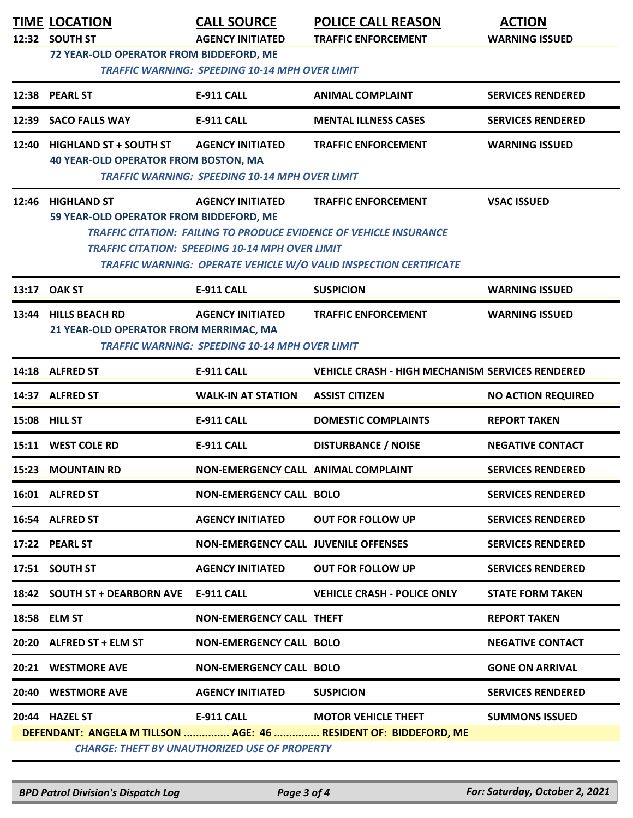| <b>TIME LOCATION</b><br>12:32 SOUTH ST                                      | <b>CALL SOURCE</b><br><b>AGENCY INITIATED</b>                                     | <b>POLICE CALL REASON</b><br><b>TRAFFIC ENFORCEMENT</b>                                                                                                                      | <b>ACTION</b><br><b>WARNING ISSUED</b> |
|-----------------------------------------------------------------------------|-----------------------------------------------------------------------------------|------------------------------------------------------------------------------------------------------------------------------------------------------------------------------|----------------------------------------|
| 72 YEAR-OLD OPERATOR FROM BIDDEFORD, ME                                     | <b>TRAFFIC WARNING: SPEEDING 10-14 MPH OVER LIMIT</b>                             |                                                                                                                                                                              |                                        |
| 12:38 PEARL ST                                                              | E-911 CALL                                                                        | <b>ANIMAL COMPLAINT</b>                                                                                                                                                      | <b>SERVICES RENDERED</b>               |
| 12:39 SACO FALLS WAY                                                        | <b>E-911 CALL</b>                                                                 | <b>MENTAL ILLNESS CASES</b>                                                                                                                                                  | <b>SERVICES RENDERED</b>               |
| 12:40 HIGHLAND ST + SOUTH ST<br><b>40 YEAR-OLD OPERATOR FROM BOSTON, MA</b> | <b>AGENCY INITIATED</b><br><b>TRAFFIC WARNING: SPEEDING 10-14 MPH OVER LIMIT</b>  | <b>TRAFFIC ENFORCEMENT</b>                                                                                                                                                   | <b>WARNING ISSUED</b>                  |
| 12:46 HIGHLAND ST<br>59 YEAR-OLD OPERATOR FROM BIDDEFORD, ME                | <b>AGENCY INITIATED</b><br><b>TRAFFIC CITATION: SPEEDING 10-14 MPH OVER LIMIT</b> | <b>TRAFFIC ENFORCEMENT</b><br><b>TRAFFIC CITATION: FAILING TO PRODUCE EVIDENCE OF VEHICLE INSURANCE</b><br>TRAFFIC WARNING: OPERATE VEHICLE W/O VALID INSPECTION CERTIFICATE | <b>VSAC ISSUED</b>                     |
| 13:17 OAK ST                                                                | E-911 CALL                                                                        | <b>SUSPICION</b>                                                                                                                                                             | <b>WARNING ISSUED</b>                  |
| 13:44 HILLS BEACH RD<br>21 YEAR-OLD OPERATOR FROM MERRIMAC, MA              | <b>AGENCY INITIATED</b><br><b>TRAFFIC WARNING: SPEEDING 10-14 MPH OVER LIMIT</b>  | <b>TRAFFIC ENFORCEMENT</b>                                                                                                                                                   | <b>WARNING ISSUED</b>                  |
| 14:18 ALFRED ST                                                             | <b>E-911 CALL</b>                                                                 | <b>VEHICLE CRASH - HIGH MECHANISM SERVICES RENDERED</b>                                                                                                                      |                                        |
| 14:37 ALFRED ST                                                             | <b>WALK-IN AT STATION</b>                                                         | <b>ASSIST CITIZEN</b>                                                                                                                                                        | <b>NO ACTION REQUIRED</b>              |
| <b>15:08 HILL ST</b>                                                        | <b>E-911 CALL</b>                                                                 | <b>DOMESTIC COMPLAINTS</b>                                                                                                                                                   | <b>REPORT TAKEN</b>                    |
| 15:11 WEST COLE RD                                                          | <b>E-911 CALL</b>                                                                 | <b>DISTURBANCE / NOISE</b>                                                                                                                                                   | <b>NEGATIVE CONTACT</b>                |
| 15:23 MOUNTAIN RD                                                           | NON-EMERGENCY CALL ANIMAL COMPLAINT                                               |                                                                                                                                                                              | <b>SERVICES RENDERED</b>               |
| 16:01 ALFRED ST                                                             | <b>NON-EMERGENCY CALL BOLO</b>                                                    |                                                                                                                                                                              | <b>SERVICES RENDERED</b>               |
| 16:54 ALFRED ST                                                             | <b>AGENCY INITIATED</b>                                                           | <b>OUT FOR FOLLOW UP</b>                                                                                                                                                     | <b>SERVICES RENDERED</b>               |
| 17:22 PEARL ST                                                              | <b>NON-EMERGENCY CALL JUVENILE OFFENSES</b>                                       |                                                                                                                                                                              | <b>SERVICES RENDERED</b>               |
| 17:51 SOUTH ST                                                              | <b>AGENCY INITIATED</b>                                                           | <b>OUT FOR FOLLOW UP</b>                                                                                                                                                     | <b>SERVICES RENDERED</b>               |
| 18:42 SOUTH ST + DEARBORN AVE E-911 CALL                                    |                                                                                   | <b>VEHICLE CRASH - POLICE ONLY</b>                                                                                                                                           | <b>STATE FORM TAKEN</b>                |
| 18:58 ELM ST                                                                | <b>NON-EMERGENCY CALL THEFT</b>                                                   |                                                                                                                                                                              | <b>REPORT TAKEN</b>                    |
| 20:20 ALFRED ST + ELM ST                                                    | <b>NON-EMERGENCY CALL BOLO</b>                                                    |                                                                                                                                                                              | <b>NEGATIVE CONTACT</b>                |
| 20:21 WESTMORE AVE                                                          | <b>NON-EMERGENCY CALL BOLO</b>                                                    |                                                                                                                                                                              | <b>GONE ON ARRIVAL</b>                 |
| 20:40 WESTMORE AVE                                                          | <b>AGENCY INITIATED</b>                                                           | <b>SUSPICION</b>                                                                                                                                                             | <b>SERVICES RENDERED</b>               |
| 20:44 HAZEL ST                                                              | <b>E-911 CALL</b><br><b>CHARGE: THEFT BY UNAUTHORIZED USE OF PROPERTY</b>         | <b>MOTOR VEHICLE THEFT</b><br>DEFENDANT: ANGELA M TILLSON  AGE: 46  RESIDENT OF: BIDDEFORD, ME                                                                               | <b>SUMMONS ISSUED</b>                  |

*BPD Patrol Division's Dispatch Log Page 3 of 4 For: Saturday, October 2, 2021*